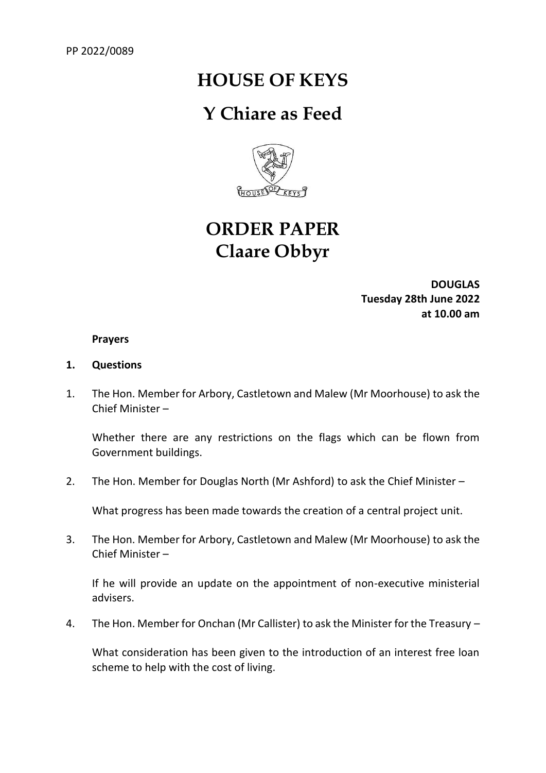## **HOUSE OF KEYS**

### **Y Chiare as Feed**



# **ORDER PAPER Claare Obbyr**

**DOUGLAS Tuesday 28th June 2022 at 10.00 am**

#### **Prayers**

#### **1. Questions**

1. The Hon. Member for Arbory, Castletown and Malew (Mr Moorhouse) to ask the Chief Minister –

Whether there are any restrictions on the flags which can be flown from Government buildings.

2. The Hon. Member for Douglas North (Mr Ashford) to ask the Chief Minister –

What progress has been made towards the creation of a central project unit.

3. The Hon. Member for Arbory, Castletown and Malew (Mr Moorhouse) to ask the Chief Minister –

If he will provide an update on the appointment of non-executive ministerial advisers.

4. The Hon. Member for Onchan (Mr Callister) to ask the Minister for the Treasury –

What consideration has been given to the introduction of an interest free loan scheme to help with the cost of living.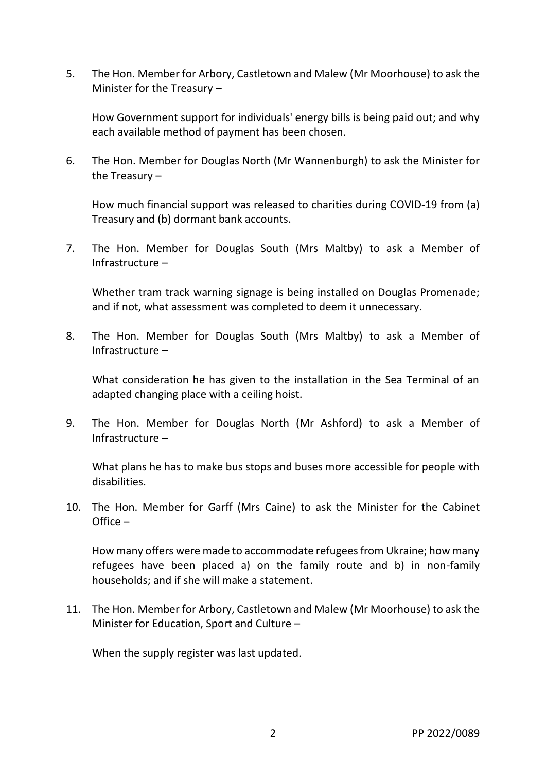5. The Hon. Member for Arbory, Castletown and Malew (Mr Moorhouse) to ask the Minister for the Treasury –

How Government support for individuals' energy bills is being paid out; and why each available method of payment has been chosen.

6. The Hon. Member for Douglas North (Mr Wannenburgh) to ask the Minister for the Treasury –

How much financial support was released to charities during COVID-19 from (a) Treasury and (b) dormant bank accounts.

7. The Hon. Member for Douglas South (Mrs Maltby) to ask a Member of Infrastructure –

Whether tram track warning signage is being installed on Douglas Promenade; and if not, what assessment was completed to deem it unnecessary.

8. The Hon. Member for Douglas South (Mrs Maltby) to ask a Member of Infrastructure –

What consideration he has given to the installation in the Sea Terminal of an adapted changing place with a ceiling hoist.

9. The Hon. Member for Douglas North (Mr Ashford) to ask a Member of Infrastructure –

What plans he has to make bus stops and buses more accessible for people with disabilities.

10. The Hon. Member for Garff (Mrs Caine) to ask the Minister for the Cabinet Office –

How many offers were made to accommodate refugees from Ukraine; how many refugees have been placed a) on the family route and b) in non-family households; and if she will make a statement.

11. The Hon. Member for Arbory, Castletown and Malew (Mr Moorhouse) to ask the Minister for Education, Sport and Culture –

When the supply register was last updated.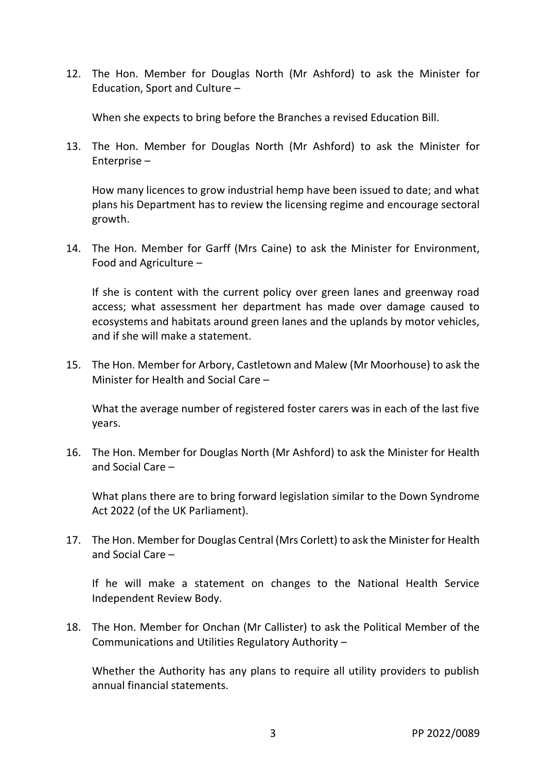12. The Hon. Member for Douglas North (Mr Ashford) to ask the Minister for Education, Sport and Culture –

When she expects to bring before the Branches a revised Education Bill.

13. The Hon. Member for Douglas North (Mr Ashford) to ask the Minister for Enterprise –

How many licences to grow industrial hemp have been issued to date; and what plans his Department has to review the licensing regime and encourage sectoral growth.

14. The Hon. Member for Garff (Mrs Caine) to ask the Minister for Environment, Food and Agriculture –

If she is content with the current policy over green lanes and greenway road access; what assessment her department has made over damage caused to ecosystems and habitats around green lanes and the uplands by motor vehicles, and if she will make a statement.

15. The Hon. Member for Arbory, Castletown and Malew (Mr Moorhouse) to ask the Minister for Health and Social Care –

What the average number of registered foster carers was in each of the last five years.

16. The Hon. Member for Douglas North (Mr Ashford) to ask the Minister for Health and Social Care –

What plans there are to bring forward legislation similar to the Down Syndrome Act 2022 (of the UK Parliament).

17. The Hon. Member for Douglas Central (Mrs Corlett) to ask the Minister for Health and Social Care –

If he will make a statement on changes to the National Health Service Independent Review Body.

18. The Hon. Member for Onchan (Mr Callister) to ask the Political Member of the Communications and Utilities Regulatory Authority –

Whether the Authority has any plans to require all utility providers to publish annual financial statements.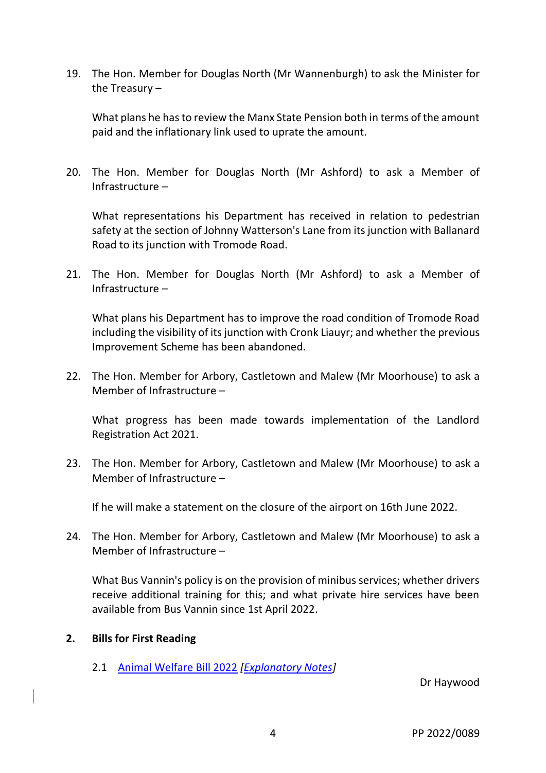19. The Hon. Member for Douglas North (Mr Wannenburgh) to ask the Minister for the Treasury –

What plans he has to review the Manx State Pension both in terms of the amount paid and the inflationary link used to uprate the amount.

20. The Hon. Member for Douglas North (Mr Ashford) to ask a Member of Infrastructure –

What representations his Department has received in relation to pedestrian safety at the section of Johnny Watterson's Lane from its junction with Ballanard Road to its junction with Tromode Road.

21. The Hon. Member for Douglas North (Mr Ashford) to ask a Member of Infrastructure –

What plans his Department has to improve the road condition of Tromode Road including the visibility of its junction with Cronk Liauyr; and whether the previous Improvement Scheme has been abandoned.

22. The Hon. Member for Arbory, Castletown and Malew (Mr Moorhouse) to ask a Member of Infrastructure –

What progress has been made towards implementation of the Landlord Registration Act 2021.

23. The Hon. Member for Arbory, Castletown and Malew (Mr Moorhouse) to ask a Member of Infrastructure –

If he will make a statement on the closure of the airport on 16th June 2022.

24. The Hon. Member for Arbory, Castletown and Malew (Mr Moorhouse) to ask a Member of Infrastructure –

What Bus Vannin's policy is on the provision of minibus services; whether drivers receive additional training for this; and what private hire services have been available from Bus Vannin since 1st April 2022.

### **2. Bills for First Reading**

2.1 [Animal Welfare Bill 2022](https://www.tynwald.org.im/business/bills/Bills/Animal-Welfare-Bill-2022.pdf) *[\[Explanatory Notes\]](https://www.tynwald.org.im/business/bills/Bills/Animal-Welfare-Bill-2022-notes.pdf)*

Dr Haywood